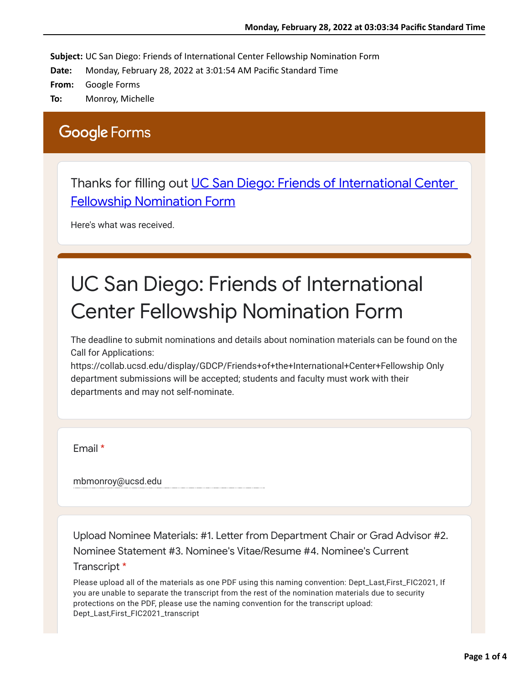Subject: UC San Diego: Friends of International Center Fellowship Nomination Form

**Date:** Monday, February 28, 2022 at 3:01:54 AM Pacific Standard Time

**From:** Google Forms

**To:** Monroy, Michelle

## **Google Forms**

Thanks for fi[lling out UC San Diego: Friends of International Center](https://urldefense.proofpoint.com/v2/url?u=https-3A__docs.google.com_forms_d_e_1FAIpQLSem-5F8mR3ehYkg-5FcxLAzhA9Hu5neCAP4wGPv9dErqHVZD76LZg_viewform-3Fusp-3Dmail-5Fform-5Flink&d=DwMFaQ&c=-35OiAkTchMrZOngvJPOeA&r=vmN0EBwcZDQpHl0lvoNVqeIbdlUnADOOlXJ1rCT_Tuo&m=sAPUPbLw1YIWNbr_-KWYDDCvuRgSImN1CihYtsbizfQDDqUB8ydNbIj_g2CWpOd2&s=wdugM9jqa8heLDPszCVYbU0TRtq4xr3uCv74wRuYj7U&e=) Fellowship Nomination Form

Here's what was received.

## UC San Diego: Friends of International Center Fellowship Nomination Form

The deadline to submit nominations and details about nomination materials can be found on the Call for Applications:

https://collab.ucsd.edu/display/GDCP/Friends+of+the+International+Center+Fellowship Only department submissions will be accepted; students and faculty must work with their departments and may not self-nominate.

Email \*

mbmonroy@ucsd.edu

Upload Nominee Materials: #1. Leter from Deparment Chair or Grad Advisor #2. Nominee Statement #3. Nominee's Vitae/Resume #4. Nominee's Current Transcript \*

Please upload all of the materials as one PDF using this naming convention: Dept\_Last,First\_FIC2021, If you are unable to separate the transcript from the rest of the nomination materials due to security protections on the PDF, please use the naming convention for the transcript upload: Dept\_Last,First\_FIC2021\_transcript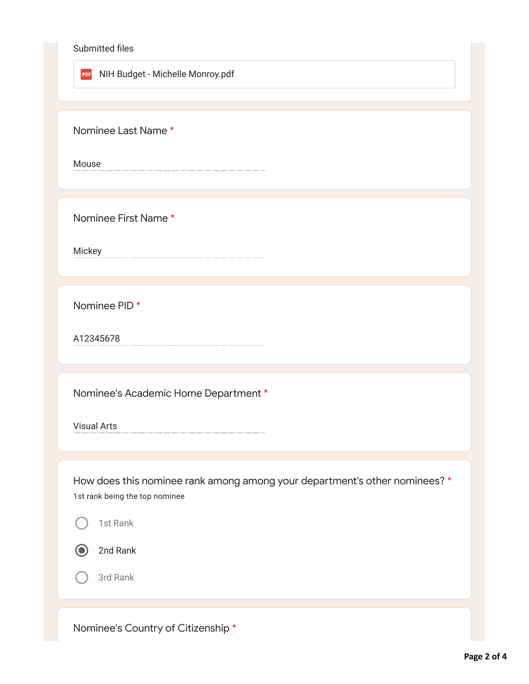## Submitted files

PDF NIH Budget - Michelle Monroy.pdf

Nominee Last Name \*

Mouse

Nominee First Name \*

Mickey

Nominee PID \*

A12345678

Nominee's Academic Home Department \*

Visual Arts

How does this nominee rank among among your department's other nominees? \* 1st rank being the top nominee

1st Rank

 $\blacksquare$ 

2nd Rank

3rd Rank

Nominee's Country of Citizenship \*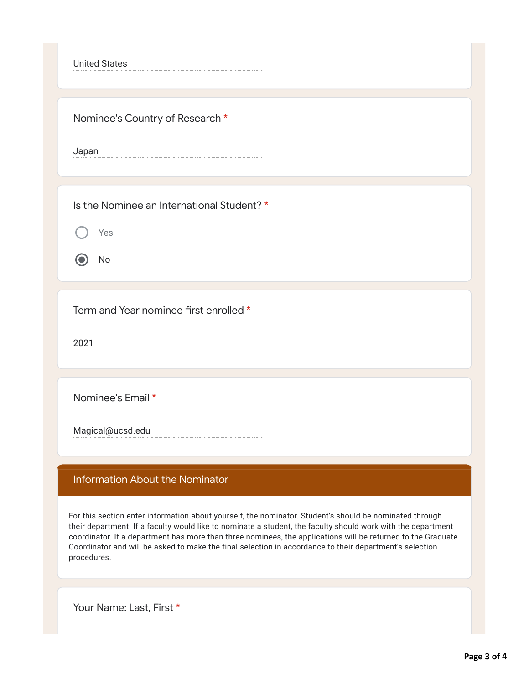United States

Nominee's Country of Research \*

Japan

Is the Nominee an International Student? \*

Yes

No

Term and Year nominee first enrolled \*

2021

Nominee's Email \*

Magical@ucsd.edu

## Information About the Nominator

For this section enter information about yourself, the nominator. Student's should be nominated through their department. If a faculty would like to nominate a student, the faculty should work with the department coordinator. If a department has more than three nominees, the applications will be returned to the Graduate Coordinator and will be asked to make the final selection in accordance to their department's selection procedures.

Your Name: Last, First \*